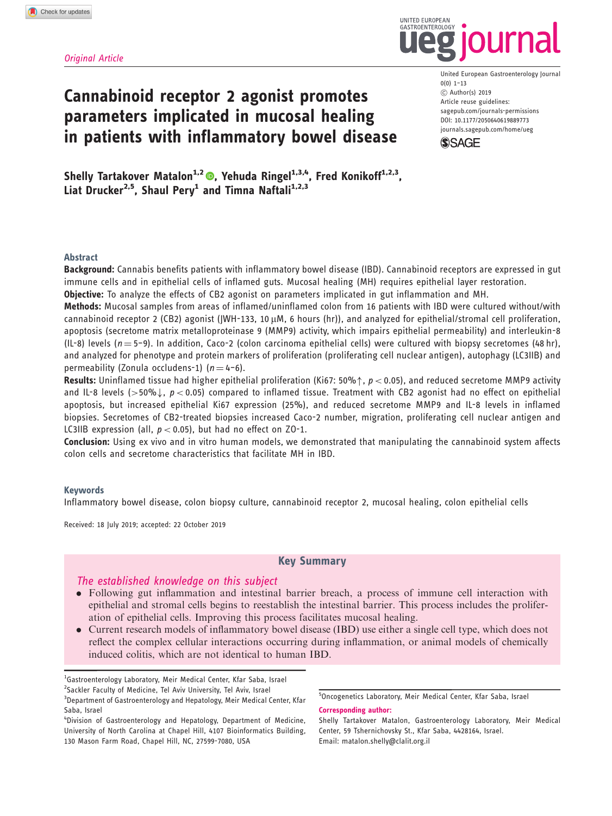### Original Article

# Cannabinoid receptor 2 agonist promotes parameters implicated in mucosal healing in patients with inflammatory bowel disease

United European Gastroenterology Journal 0(0) 1–13 C Author(s) 2019 Article reuse guidelines: [sagepub.com/journals-permissions](https://uk.sagepub.com/en-gb/journals-permissions) DOI: [10.1177/2050640619889773](https://doi.org/10.1177/2050640619889773) <journals.sagepub.com/home/ueg>

**SSAGE** 

UNITED FUROPEAN GASTROENTEROLOGY

Shelly Tartakover Matalon<sup>1[,](https://orcid.org/0000-0003-3319-7332)2</sup>  $\bullet$ , Yehuda Ringel<sup>1,3,4</sup>, Fred Konikoff<sup>1,2,3</sup>, Liat Drucker<sup>2,5</sup>, Shaul Pery<sup>1</sup> and Timna Naftali<sup>1,2,3</sup>

### Abstract

Background: Cannabis benefits patients with inflammatory bowel disease (IBD). Cannabinoid receptors are expressed in gut immune cells and in epithelial cells of inflamed guts. Mucosal healing (MH) requires epithelial layer restoration.

Objective: To analyze the effects of CB2 agonist on parameters implicated in gut inflammation and MH.

Methods: Mucosal samples from areas of inflamed/uninflamed colon from 16 patients with IBD were cultured without/with cannabinoid receptor 2 (CB2) agonist (JWH-133, 10  $\mu$ M, 6 hours (hr)), and analyzed for epithelial/stromal cell proliferation, apoptosis (secretome matrix metalloproteinase 9 (MMP9) activity, which impairs epithelial permeability) and interleukin-8 (IL-8) levels ( $n = 5-9$ ). In addition, Caco-2 (colon carcinoma epithelial cells) were cultured with biopsy secretomes (48 hr), and analyzed for phenotype and protein markers of proliferation (proliferating cell nuclear antigen), autophagy (LC3IIB) and permeability (Zonula occludens-1) ( $n = 4-6$ ).

Results: Uninflamed tissue had higher epithelial proliferation (Ki67: 50% $\uparrow$ ,  $p$  < 0.05), and reduced secretome MMP9 activity and IL-8 levels (>50%),  $p < 0.05$  compared to inflamed tissue. Treatment with CB2 agonist had no effect on epithelial apoptosis, but increased epithelial Ki67 expression (25%), and reduced secretome MMP9 and IL-8 levels in inflamed biopsies. Secretomes of CB2-treated biopsies increased Caco-2 number, migration, proliferating cell nuclear antigen and LC3IIB expression (all,  $p < 0.05$ ), but had no effect on ZO-1.

Conclusion: Using ex vivo and in vitro human models, we demonstrated that manipulating the cannabinoid system affects colon cells and secretome characteristics that facilitate MH in IBD.

### Keywords

Inflammatory bowel disease, colon biopsy culture, cannabinoid receptor 2, mucosal healing, colon epithelial cells

Received: 18 July 2019; accepted: 22 October 2019

### Key Summary

### The established knowledge on this subject

- . Following gut inflammation and intestinal barrier breach, a process of immune cell interaction with epithelial and stromal cells begins to reestablish the intestinal barrier. This process includes the proliferation of epithelial cells. Improving this process facilitates mucosal healing.
- . Current research models of inflammatory bowel disease (IBD) use either a single cell type, which does not reflect the complex cellular interactions occurring during inflammation, or animal models of chemically induced colitis, which are not identical to human IBD.

<sup>&</sup>lt;sup>1</sup>Gastroenterology Laboratory, Meir Medical Center, Kfar Saba, Israel <sup>2</sup>Sackler Faculty of Medicine, Tel Aviv University, Tel Aviv, Israel <sup>3</sup>Department of Gastroenterology and Hepatology, Meir Medical Center, Kfar Saba, Israel

<sup>4</sup> Division of Gastroenterology and Hepatology, Department of Medicine, University of North Carolina at Chapel Hill, 4107 Bioinformatics Building, 130 Mason Farm Road, Chapel Hill, NC, 27599-7080, USA

<sup>&</sup>lt;sup>5</sup> Oncogenetics Laboratory, Meir Medical Center, Kfar Saba, Israel Corresponding author:

Shelly Tartakover Matalon, Gastroenterology Laboratory, Meir Medical Center, 59 Tshernichovsky St., Kfar Saba, 4428164, Israel. Email: matalon.shelly@clalit.org.il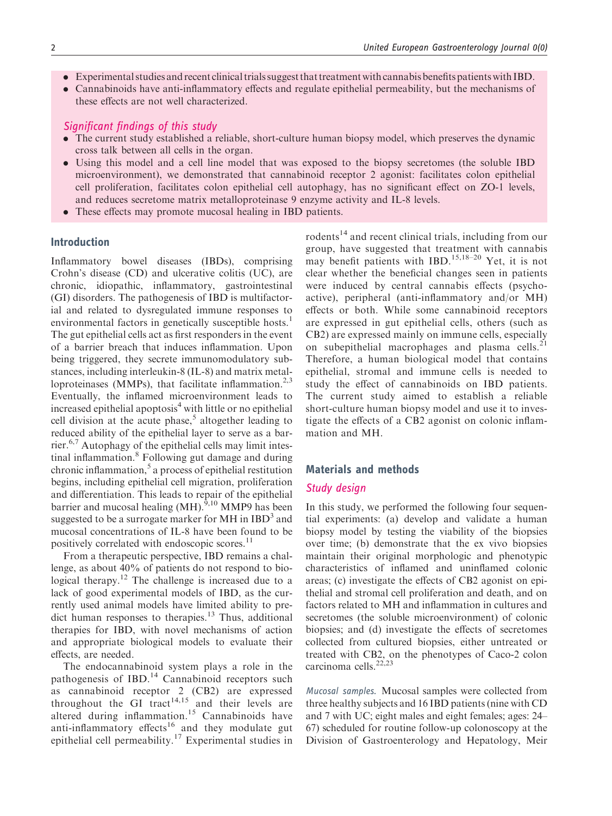- . Experimental studies and recent clinical trials suggest that treatment with cannabis benefits patients with IBD.
- . Cannabinoids have anti-inflammatory effects and regulate epithelial permeability, but the mechanisms of these effects are not well characterized.

### Significant findings of this study

- . The current study established a reliable, short-culture human biopsy model, which preserves the dynamic cross talk between all cells in the organ.
- . Using this model and a cell line model that was exposed to the biopsy secretomes (the soluble IBD microenvironment), we demonstrated that cannabinoid receptor 2 agonist: facilitates colon epithelial cell proliferation, facilitates colon epithelial cell autophagy, has no significant effect on ZO-1 levels, and reduces secretome matrix metalloproteinase 9 enzyme activity and IL-8 levels.
- . These effects may promote mucosal healing in IBD patients.

### Introduction

Inflammatory bowel diseases (IBDs), comprising Crohn's disease (CD) and ulcerative colitis (UC), are chronic, idiopathic, inflammatory, gastrointestinal (GI) disorders. The pathogenesis of IBD is multifactorial and related to dysregulated immune responses to environmental factors in genetically susceptible hosts.<sup>1</sup> The gut epithelial cells act as first responders in the event of a barrier breach that induces inflammation. Upon being triggered, they secrete immunomodulatory substances, including interleukin-8 (IL-8) and matrix metalloproteinases (MMPs), that facilitate inflammation.<sup>2,3</sup> Eventually, the inflamed microenvironment leads to increased epithelial apoptosis<sup>4</sup> with little or no epithelial cell division at the acute phase,<sup>5</sup> altogether leading to reduced ability of the epithelial layer to serve as a barrier.6,7 Autophagy of the epithelial cells may limit intestinal inflammation. $8$  Following gut damage and during chronic inflammation, $5$  a process of epithelial restitution begins, including epithelial cell migration, proliferation and differentiation. This leads to repair of the epithelial barrier and mucosal healing  $(MH)$ .<sup>9,10</sup> MMP9 has been suggested to be a surrogate marker for MH in  $IBD<sup>3</sup>$  and mucosal concentrations of IL-8 have been found to be positively correlated with endoscopic scores.<sup>11</sup>

From a therapeutic perspective, IBD remains a challenge, as about 40% of patients do not respond to biological therapy.<sup>12</sup> The challenge is increased due to a lack of good experimental models of IBD, as the currently used animal models have limited ability to predict human responses to therapies.<sup>13</sup> Thus, additional therapies for IBD, with novel mechanisms of action and appropriate biological models to evaluate their effects, are needed.

The endocannabinoid system plays a role in the pathogenesis of IBD.<sup>14</sup> Cannabinoid receptors such as cannabinoid receptor 2 (CB2) are expressed throughout the GI tract<sup>14,15</sup> and their levels are altered during inflammation.<sup>15</sup> Cannabinoids have anti-inflammatory effects<sup>16</sup> and they modulate gut epithelial cell permeability.<sup>17</sup> Experimental studies in

rodents<sup>14</sup> and recent clinical trials, including from our group, have suggested that treatment with cannabis may benefit patients with IBD.<sup>15,18–20</sup> Yet, it is not clear whether the beneficial changes seen in patients were induced by central cannabis effects (psychoactive), peripheral (anti-inflammatory and/or MH) effects or both. While some cannabinoid receptors are expressed in gut epithelial cells, others (such as CB2) are expressed mainly on immune cells, especially on subepithelial macrophages and plasma cells.<sup>21</sup> Therefore, a human biological model that contains epithelial, stromal and immune cells is needed to study the effect of cannabinoids on IBD patients. The current study aimed to establish a reliable short-culture human biopsy model and use it to investigate the effects of a CB2 agonist on colonic inflammation and MH.

### Materials and methods

### Study design

In this study, we performed the following four sequential experiments: (a) develop and validate a human biopsy model by testing the viability of the biopsies over time; (b) demonstrate that the ex vivo biopsies maintain their original morphologic and phenotypic characteristics of inflamed and uninflamed colonic areas; (c) investigate the effects of CB2 agonist on epithelial and stromal cell proliferation and death, and on factors related to MH and inflammation in cultures and secretomes (the soluble microenvironment) of colonic biopsies; and (d) investigate the effects of secretomes collected from cultured biopsies, either untreated or treated with CB2, on the phenotypes of Caco-2 colon carcinoma cells.<sup>22,23</sup>

Mucosal samples. Mucosal samples were collected from three healthy subjects and 16 IBD patients (nine with CD and 7 with UC; eight males and eight females; ages: 24– 67) scheduled for routine follow-up colonoscopy at the Division of Gastroenterology and Hepatology, Meir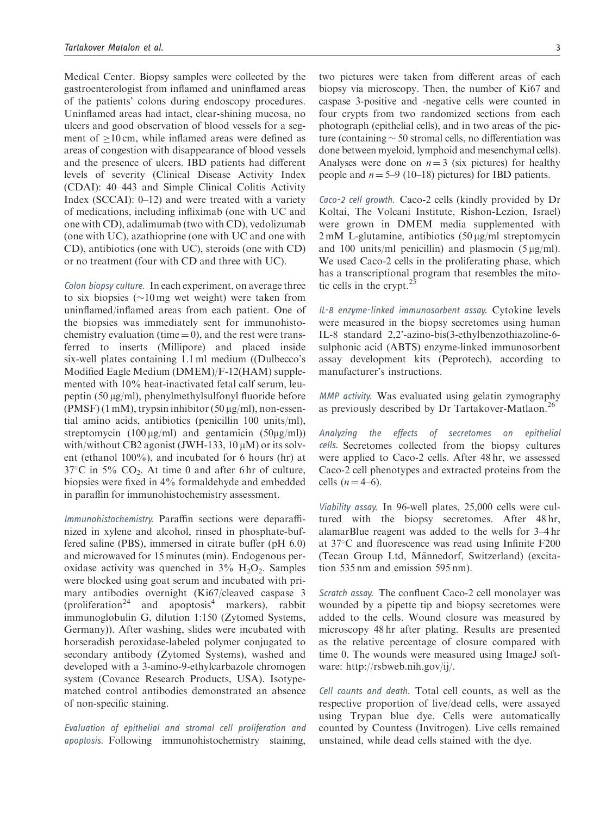Medical Center. Biopsy samples were collected by the gastroenterologist from inflamed and uninflamed areas of the patients' colons during endoscopy procedures. Uninflamed areas had intact, clear-shining mucosa, no ulcers and good observation of blood vessels for a segment of  $\geq 10$  cm, while inflamed areas were defined as areas of congestion with disappearance of blood vessels and the presence of ulcers. IBD patients had different levels of severity (Clinical Disease Activity Index (CDAI): 40–443 and Simple Clinical Colitis Activity Index (SCCAI): 0–12) and were treated with a variety of medications, including infliximab (one with UC and one with CD), adalimumab (two with CD), vedolizumab (one with UC), azathioprine (one with UC and one with CD), antibiotics (one with UC), steroids (one with CD) or no treatment (four with CD and three with UC).

Colon biopsy culture. In each experiment, on average three to six biopsies  $(\sim 10 \,\text{mg}$  wet weight) were taken from uninflamed/inflamed areas from each patient. One of the biopsies was immediately sent for immunohistochemistry evaluation (time  $= 0$ ), and the rest were transferred to inserts (Millipore) and placed inside six-well plates containing 1.1 ml medium ((Dulbecco's Modified Eagle Medium (DMEM)/F-12(HAM) supplemented with 10% heat-inactivated fetal calf serum, leupeptin  $(50 \mu g/ml)$ , phenylmethylsulfonyl fluoride before  $(PMSF)$  (1 mM), trypsin inhibitor (50  $\mu$ g/ml), non-essential amino acids, antibiotics (penicillin 100 units/ml), streptomycin  $(100 \mu g/ml)$  and gentamicin  $(50 \mu g/ml)$ with/without CB2 agonist (JWH-133,  $10 \mu$ M) or its solvent (ethanol 100%), and incubated for 6 hours (hr) at  $37^{\circ}$ C in  $5\%$  CO<sub>2</sub>. At time 0 and after 6 hr of culture, biopsies were fixed in 4% formaldehyde and embedded in paraffin for immunohistochemistry assessment.

Immunohistochemistry. Paraffin sections were deparaffinized in xylene and alcohol, rinsed in phosphate-buffered saline (PBS), immersed in citrate buffer (pH 6.0) and microwaved for 15 minutes (min). Endogenous peroxidase activity was quenched in  $3\%$  H<sub>2</sub>O<sub>2</sub>. Samples were blocked using goat serum and incubated with primary antibodies overnight (Ki67/cleaved caspase 3 (proliferation<sup>24</sup> and apoptosis<sup>4</sup> markers), rabbit immunoglobulin G, dilution 1:150 (Zytomed Systems, Germany)). After washing, slides were incubated with horseradish peroxidase-labeled polymer conjugated to secondary antibody (Zytomed Systems), washed and developed with a 3-amino-9-ethylcarbazole chromogen system (Covance Research Products, USA). Isotypematched control antibodies demonstrated an absence of non-specific staining.

Evaluation of epithelial and stromal cell proliferation and apoptosis. Following immunohistochemistry staining, two pictures were taken from different areas of each biopsy via microscopy. Then, the number of Ki67 and caspase 3-positive and -negative cells were counted in four crypts from two randomized sections from each photograph (epithelial cells), and in two areas of the picture (containing  $\sim$  50 stromal cells, no differentiation was done between myeloid, lymphoid and mesenchymal cells). Analyses were done on  $n = 3$  (six pictures) for healthy people and  $n = 5-9$  (10–18) pictures) for IBD patients.

Caco-2 cell growth. Caco-2 cells (kindly provided by Dr Koltai, The Volcani Institute, Rishon-Lezion, Israel) were grown in DMEM media supplemented with  $2 \text{ mM } L$ -glutamine, antibiotics  $(50 \mu g/ml \text{ streptomycin})$ and 100 units/ml penicillin) and plasmocin  $(5 \mu g/ml)$ . We used Caco-2 cells in the proliferating phase, which has a transcriptional program that resembles the mitotic cells in the crypt. $25$ 

IL-8 enzyme-linked immunosorbent assay. Cytokine levels were measured in the biopsy secretomes using human IL-8 standard 2,2'-azino-bis(3-ethylbenzothiazoline-6 sulphonic acid (ABTS) enzyme-linked immunosorbent assay development kits (Peprotech), according to manufacturer's instructions.

MMP activity. Was evaluated using gelatin zymography as previously described by Dr Tartakover-Matlaon.<sup>26</sup>

Analyzing the effects of secretomes on epithelial cells. Secretomes collected from the biopsy cultures were applied to Caco-2 cells. After 48 hr, we assessed Caco-2 cell phenotypes and extracted proteins from the cells  $(n = 4–6)$ .

Viability assay. In 96-well plates, 25,000 cells were cultured with the biopsy secretomes. After 48 hr, alamarBlue reagent was added to the wells for 3–4 hr at 37C and fluorescence was read using Infinite F200 (Tecan Group Ltd, Männedorf, Switzerland) (excitation 535 nm and emission 595 nm).

Scratch assay. The confluent Caco-2 cell monolayer was wounded by a pipette tip and biopsy secretomes were added to the cells. Wound closure was measured by microscopy 48 hr after plating. Results are presented as the relative percentage of closure compared with time 0. The wounds were measured using ImageJ software: [http://rsbweb.nih.gov/ij/.](http://rsbweb.nih.gov/ij/)

Cell counts and death. Total cell counts, as well as the respective proportion of live/dead cells, were assayed using Trypan blue dye. Cells were automatically counted by Countess (Invitrogen). Live cells remained unstained, while dead cells stained with the dye.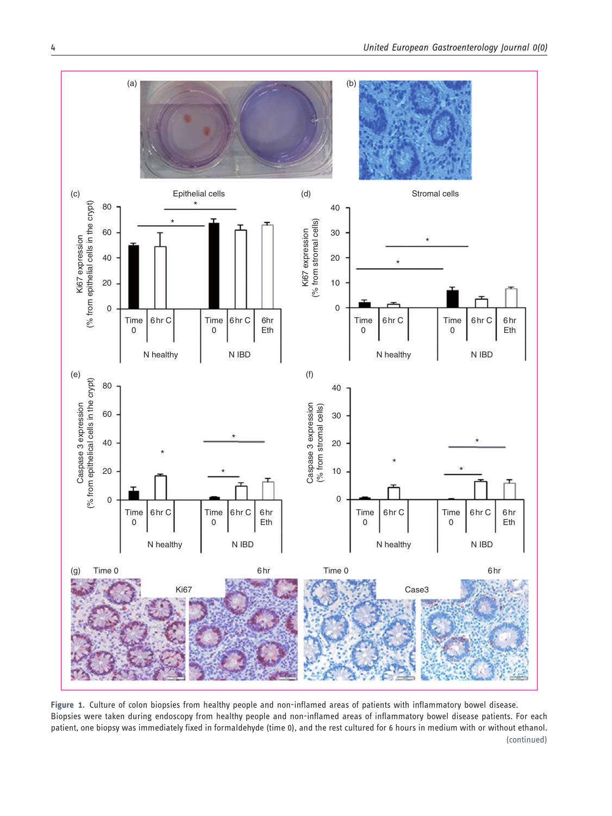

Figure 1. Culture of colon biopsies from healthy people and non-inflamed areas of patients with inflammatory bowel disease. Biopsies were taken during endoscopy from healthy people and non-inflamed areas of inflammatory bowel disease patients. For each patient, one biopsy was immediately fixed in formaldehyde (time 0), and the rest cultured for 6 hours in medium with or without ethanol. (continued)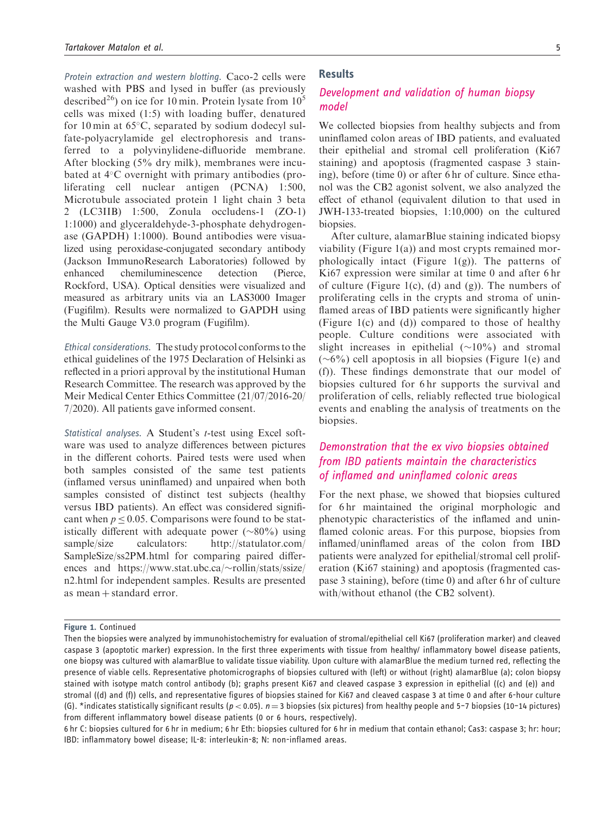Protein extraction and western blotting. Caco-2 cells were washed with PBS and lysed in buffer (as previously described<sup>26</sup>) on ice for 10 min. Protein lysate from  $10<sup>5</sup>$ cells was mixed (1:5) with loading buffer, denatured for 10 min at  $65^{\circ}$ C, separated by sodium dodecyl sulfate-polyacrylamide gel electrophoresis and transferred to a polyvinylidene-difluoride membrane. After blocking (5% dry milk), membranes were incubated at  $4^{\circ}$ C overnight with primary antibodies (proliferating cell nuclear antigen (PCNA) 1:500, Microtubule associated protein 1 light chain 3 beta 2 (LC3IIB) 1:500, Zonula occludens-1 (ZO-1) 1:1000) and glyceraldehyde-3-phosphate dehydrogenase (GAPDH) 1:1000). Bound antibodies were visualized using peroxidase-conjugated secondary antibody (Jackson ImmunoResearch Laboratories) followed by enhanced chemiluminescence detection (Pierce, Rockford, USA). Optical densities were visualized and measured as arbitrary units via an LAS3000 Imager (Fugifilm). Results were normalized to GAPDH using the Multi Gauge V3.0 program (Fugifilm).

Ethical considerations. The study protocol conforms to the ethical guidelines of the 1975 Declaration of Helsinki as reflected in a priori approval by the institutional Human Research Committee. The research was approved by the Meir Medical Center Ethics Committee (21/07/2016-20/ 7/2020). All patients gave informed consent.

Statistical analyses. A Student's t-test using Excel software was used to analyze differences between pictures in the different cohorts. Paired tests were used when both samples consisted of the same test patients (inflamed versus uninflamed) and unpaired when both samples consisted of distinct test subjects (healthy versus IBD patients). An effect was considered significant when  $p < 0.05$ . Comparisons were found to be statistically different with adequate power  $(\sim 80\%)$  using sample/size calculators: [http://statulator.com/](http://statulator.com/SampleSize/ss2PM.html) [SampleSize/ss2PM.html](http://statulator.com/SampleSize/ss2PM.html) for comparing paired differences and [https://www.stat.ubc.ca/](https://www.stat.ubc.ca/rollin/stats/ssize/n2.html) $\sim$ [rollin/stats/ssize/](https://www.stat.ubc.ca/rollin/stats/ssize/n2.html) [n2.html](https://www.stat.ubc.ca/rollin/stats/ssize/n2.html) for independent samples. Results are presented as mean + standard error.

### Results

# Development and validation of human biopsy model

We collected biopsies from healthy subjects and from uninflamed colon areas of IBD patients, and evaluated their epithelial and stromal cell proliferation (Ki67 staining) and apoptosis (fragmented caspase 3 staining), before (time 0) or after 6 hr of culture. Since ethanol was the CB2 agonist solvent, we also analyzed the effect of ethanol (equivalent dilution to that used in JWH-133-treated biopsies, 1:10,000) on the cultured biopsies.

After culture, alamarBlue staining indicated biopsy viability (Figure 1(a)) and most crypts remained morphologically intact (Figure 1(g)). The patterns of Ki67 expression were similar at time 0 and after 6 hr of culture (Figure 1(c), (d) and (g)). The numbers of proliferating cells in the crypts and stroma of uninflamed areas of IBD patients were significantly higher (Figure 1(c) and (d)) compared to those of healthy people. Culture conditions were associated with slight increases in epithelial  $(\sim 10\%)$  and stromal  $(\sim 6\%)$  cell apoptosis in all biopsies (Figure 1(e) and (f)). These findings demonstrate that our model of biopsies cultured for 6 hr supports the survival and proliferation of cells, reliably reflected true biological events and enabling the analysis of treatments on the biopsies.

# Demonstration that the ex vivo biopsies obtained from IBD patients maintain the characteristics of inflamed and uninflamed colonic areas

For the next phase, we showed that biopsies cultured for 6 hr maintained the original morphologic and phenotypic characteristics of the inflamed and uninflamed colonic areas. For this purpose, biopsies from inflamed/uninflamed areas of the colon from IBD patients were analyzed for epithelial/stromal cell proliferation (Ki67 staining) and apoptosis (fragmented caspase 3 staining), before (time 0) and after 6 hr of culture with/without ethanol (the CB2 solvent).

Figure 1. Continued

Then the biopsies were analyzed by immunohistochemistry for evaluation of stromal/epithelial cell Ki67 (proliferation marker) and cleaved caspase 3 (apoptotic marker) expression. In the first three experiments with tissue from healthy/ inflammatory bowel disease patients, one biopsy was cultured with alamarBlue to validate tissue viability. Upon culture with alamarBlue the medium turned red, reflecting the presence of viable cells. Representative photomicrographs of biopsies cultured with (left) or without (right) alamarBlue (a); colon biopsy stained with isotype match control antibody (b); graphs present Ki67 and cleaved caspase 3 expression in epithelial ((c) and (e)) and stromal ((d) and (f)) cells, and representative figures of biopsies stained for Ki67 and cleaved caspase 3 at time 0 and after 6-hour culture (G). \*indicates statistically significant results ( $p < 0.05$ ).  $n = 3$  biopsies (six pictures) from healthy people and 5-7 biopsies (10-14 pictures) from different inflammatory bowel disease patients (0 or 6 hours, respectively).

<sup>6</sup> hr C: biopsies cultured for 6 hr in medium; 6 hr Eth: biopsies cultured for 6 hr in medium that contain ethanol; Cas3: caspase 3; hr: hour; IBD: inflammatory bowel disease; IL-8: interleukin-8; N: non-inflamed areas.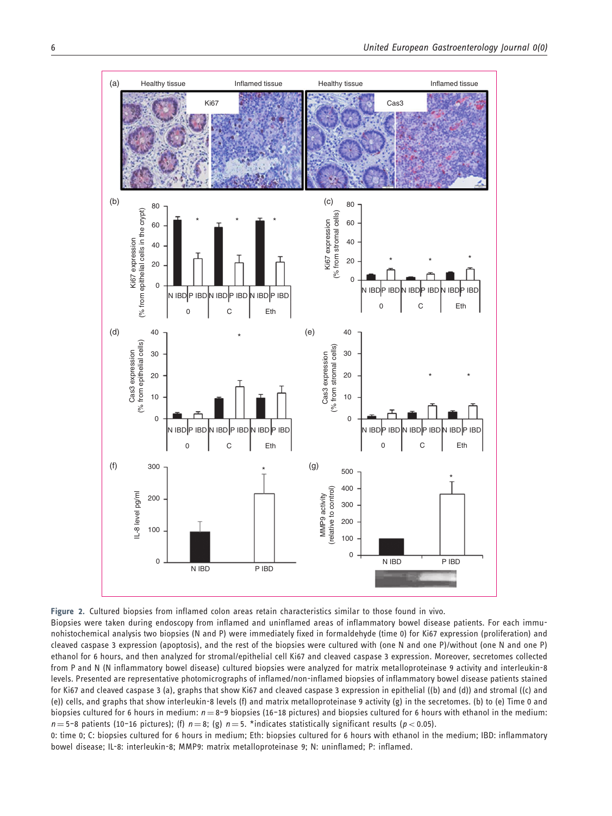![](_page_5_Figure_2.jpeg)

![](_page_5_Figure_3.jpeg)

Biopsies were taken during endoscopy from inflamed and uninflamed areas of inflammatory bowel disease patients. For each immunohistochemical analysis two biopsies (N and P) were immediately fixed in formaldehyde (time 0) for Ki67 expression (proliferation) and cleaved caspase 3 expression (apoptosis), and the rest of the biopsies were cultured with (one N and one P)/without (one N and one P) ethanol for 6 hours, and then analyzed for stromal/epithelial cell Ki67 and cleaved caspase 3 expression. Moreover, secretomes collected from P and N (N inflammatory bowel disease) cultured biopsies were analyzed for matrix metalloproteinase 9 activity and interleukin-8 levels. Presented are representative photomicrographs of inflamed/non-inflamed biopsies of inflammatory bowel disease patients stained for Ki67 and cleaved caspase 3 (a), graphs that show Ki67 and cleaved caspase 3 expression in epithelial ((b) and (d)) and stromal ((c) and (e)) cells, and graphs that show interleukin-8 levels (f) and matrix metalloproteinase 9 activity (g) in the secretomes. (b) to (e) Time 0 and biopsies cultured for 6 hours in medium:  $n = 8-9$  biopsies (16-18 pictures) and biopsies cultured for 6 hours with ethanol in the medium:  $n = 5-8$  patients (10-16 pictures); (f)  $n = 8$ ; (g)  $n = 5$ . \*indicates statistically significant results (p < 0.05).

0: time 0; C: biopsies cultured for 6 hours in medium; Eth: biopsies cultured for 6 hours with ethanol in the medium; IBD: inflammatory bowel disease; IL-8: interleukin-8; MMP9: matrix metalloproteinase 9; N: uninflamed; P: inflamed.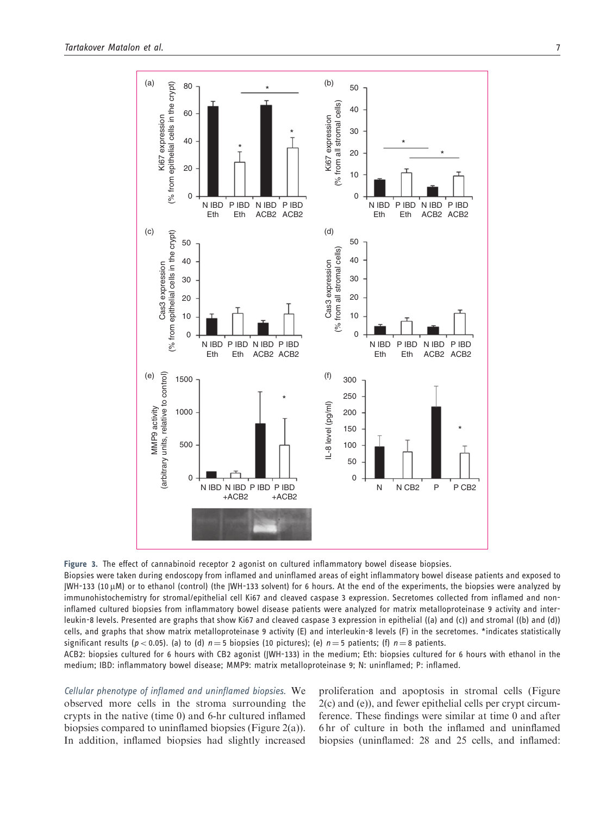![](_page_6_Figure_1.jpeg)

Figure 3. The effect of cannabinoid receptor 2 agonist on cultured inflammatory bowel disease biopsies.

Biopsies were taken during endoscopy from inflamed and uninflamed areas of eight inflammatory bowel disease patients and exposed to  $JWH-133$  (10  $µ$ M) or to ethanol (control) (the  $JWH-133$  solvent) for 6 hours. At the end of the experiments, the biopsies were analyzed by immunohistochemistry for stromal/epithelial cell Ki67 and cleaved caspase 3 expression. Secretomes collected from inflamed and noninflamed cultured biopsies from inflammatory bowel disease patients were analyzed for matrix metalloproteinase 9 activity and interleukin-8 levels. Presented are graphs that show Ki67 and cleaved caspase 3 expression in epithelial ((a) and (c)) and stromal ((b) and (d)) cells, and graphs that show matrix metalloproteinase 9 activity (E) and interleukin-8 levels (F) in the secretomes. \*indicates statistically significant results (p < 0.05). (a) to (d)  $n = 5$  biopsies (10 pictures); (e)  $n = 5$  patients; (f)  $n = 8$  patients.

ACB2: biopsies cultured for 6 hours with CB2 agonist (JWH-133) in the medium; Eth: biopsies cultured for 6 hours with ethanol in the medium; IBD: inflammatory bowel disease; MMP9: matrix metalloproteinase 9; N: uninflamed; P: inflamed.

Cellular phenotype of inflamed and uninflamed biopsies. We observed more cells in the stroma surrounding the crypts in the native (time 0) and 6-hr cultured inflamed biopsies compared to uninflamed biopsies (Figure 2(a)). In addition, inflamed biopsies had slightly increased proliferation and apoptosis in stromal cells (Figure 2(c) and (e)), and fewer epithelial cells per crypt circumference. These findings were similar at time 0 and after 6 hr of culture in both the inflamed and uninflamed biopsies (uninflamed: 28 and 25 cells, and inflamed: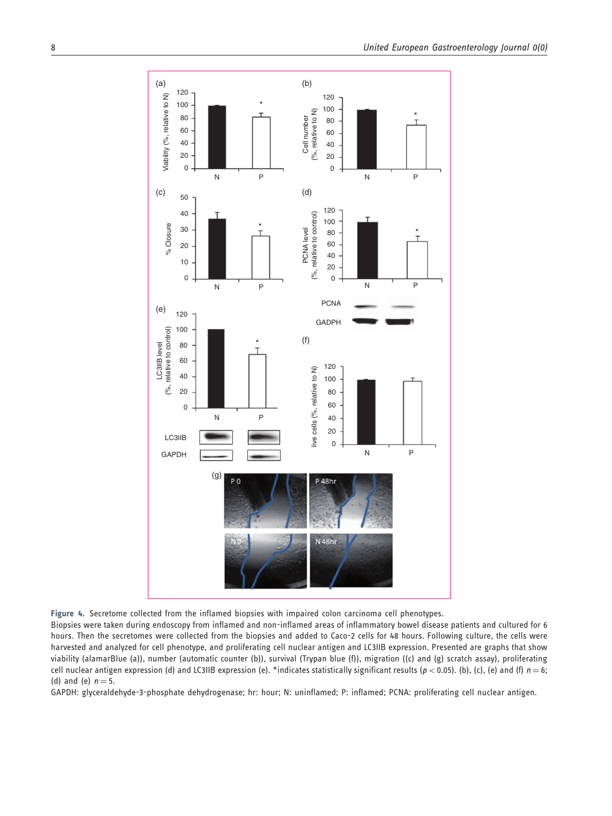![](_page_7_Figure_1.jpeg)

Figure 4. Secretome collected from the inflamed biopsies with impaired colon carcinoma cell phenotypes.

Biopsies were taken during endoscopy from inflamed and non-inflamed areas of inflammatory bowel disease patients and cultured for 6 hours. Then the secretomes were collected from the biopsies and added to Caco-2 cells for 48 hours. Following culture, the cells were harvested and analyzed for cell phenotype, and proliferating cell nuclear antigen and LC3IIB expression. Presented are graphs that show viability (alamarBlue (a)), number (automatic counter (b)), survival (Trypan blue (f)), migration ((c) and (g) scratch assay), proliferating cell nuclear antigen expression (d) and LC3IIB expression (e). \*indicates statistically significant results ( $p < 0.05$ ). (b), (c), (e) and (f)  $n = 6$ ; (d) and (e)  $n = 5$ .

GAPDH: glyceraldehyde-3-phosphate dehydrogenase; hr: hour; N: uninflamed; P: inflamed; PCNA: proliferating cell nuclear antigen.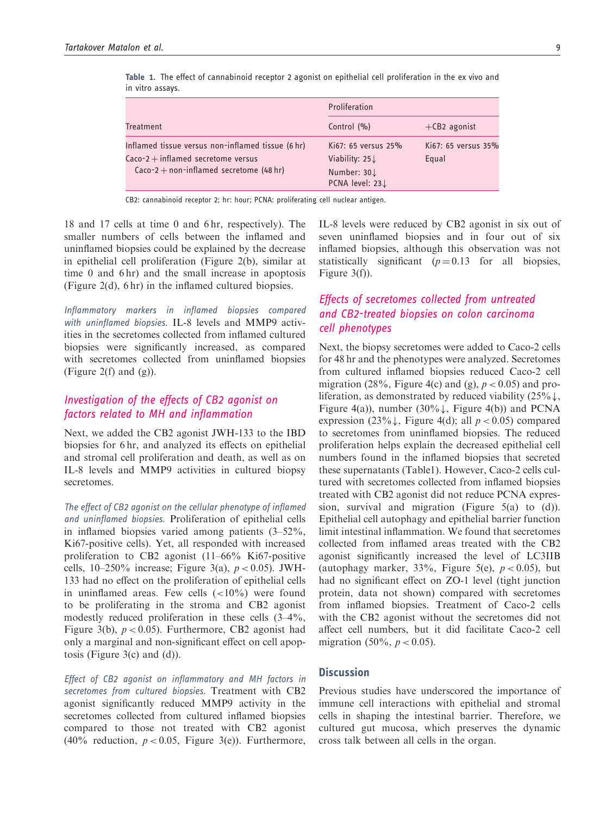| Treatment                                                                                                                              | Proliferation                                                                     |                              |
|----------------------------------------------------------------------------------------------------------------------------------------|-----------------------------------------------------------------------------------|------------------------------|
|                                                                                                                                        | Control $(% )$                                                                    | $+$ CB2 agonist              |
| Inflamed tissue versus non-inflamed tissue (6 hr)<br>$Caco-2 + inflamed$ secretome versus<br>$Caco-2 + non-inflamed$ secretome (48 hr) | Ki67: 65 versus 25%<br>Viability: $25\downarrow$<br>Number: 30↓<br>PCNA level: 23 | Ki67: 65 versus 35%<br>Equal |

Table 1. The effect of cannabinoid receptor 2 agonist on epithelial cell proliferation in the ex vivo and in vitro assays.

CB2: cannabinoid receptor 2; hr: hour; PCNA: proliferating cell nuclear antigen.

18 and 17 cells at time 0 and 6 hr, respectively). The smaller numbers of cells between the inflamed and uninflamed biopsies could be explained by the decrease in epithelial cell proliferation (Figure 2(b), similar at time 0 and 6 hr) and the small increase in apoptosis (Figure 2(d), 6 hr) in the inflamed cultured biopsies.

Inflammatory markers in inflamed biopsies compared with uninflamed biopsies. IL-8 levels and MMP9 activities in the secretomes collected from inflamed cultured biopsies were significantly increased, as compared with secretomes collected from uninflamed biopsies (Figure 2(f) and  $(g)$ ).

# Investigation of the effects of CB2 agonist on factors related to MH and inflammation

Next, we added the CB2 agonist JWH-133 to the IBD biopsies for 6 hr, and analyzed its effects on epithelial and stromal cell proliferation and death, as well as on IL-8 levels and MMP9 activities in cultured biopsy secretomes.

The effect of CB2 agonist on the cellular phenotype of inflamed and uninflamed biopsies. Proliferation of epithelial cells in inflamed biopsies varied among patients (3–52%, Ki67-positive cells). Yet, all responded with increased proliferation to CB2 agonist (11–66% Ki67-positive cells,  $10-250\%$  increase; Figure 3(a),  $p < 0.05$ ). JWH-133 had no effect on the proliferation of epithelial cells in uninflamed areas. Few cells  $(<10\%)$  were found to be proliferating in the stroma and CB2 agonist modestly reduced proliferation in these cells (3–4%, Figure 3(b),  $p < 0.05$ ). Furthermore, CB2 agonist had only a marginal and non-significant effect on cell apoptosis (Figure 3(c) and (d)).

Effect of CB2 agonist on inflammatory and MH factors in secretomes from cultured biopsies. Treatment with CB2 agonist significantly reduced MMP9 activity in the secretomes collected from cultured inflamed biopsies compared to those not treated with CB2 agonist (40% reduction,  $p < 0.05$ , Figure 3(e)). Furthermore, IL-8 levels were reduced by CB2 agonist in six out of seven uninflamed biopsies and in four out of six inflamed biopsies, although this observation was not statistically significant  $(p=0.13$  for all biopsies, Figure 3(f)).

# Effects of secretomes collected from untreated and CB2-treated biopsies on colon carcinoma cell phenotypes

Next, the biopsy secretomes were added to Caco-2 cells for 48 hr and the phenotypes were analyzed. Secretomes from cultured inflamed biopsies reduced Caco-2 cell migration (28%, Figure 4(c) and (g),  $p < 0.05$ ) and proliferation, as demonstrated by reduced viability  $(25\% \downarrow,$ Figure 4(a)), number (30%), Figure 4(b)) and PCNA expression (23%), Figure 4(d); all  $p < 0.05$ ) compared to secretomes from uninflamed biopsies. The reduced proliferation helps explain the decreased epithelial cell numbers found in the inflamed biopsies that secreted these supernatants (Table1). However, Caco-2 cells cultured with secretomes collected from inflamed biopsies treated with CB2 agonist did not reduce PCNA expression, survival and migration (Figure 5(a) to (d)). Epithelial cell autophagy and epithelial barrier function limit intestinal inflammation. We found that secretomes collected from inflamed areas treated with the CB2 agonist significantly increased the level of LC3IIB (autophagy marker,  $33\%$ , Figure 5(e),  $p < 0.05$ ), but had no significant effect on ZO-1 level (tight junction protein, data not shown) compared with secretomes from inflamed biopsies. Treatment of Caco-2 cells with the CB2 agonist without the secretomes did not affect cell numbers, but it did facilitate Caco-2 cell migration (50%,  $p < 0.05$ ).

## **Discussion**

Previous studies have underscored the importance of immune cell interactions with epithelial and stromal cells in shaping the intestinal barrier. Therefore, we cultured gut mucosa, which preserves the dynamic cross talk between all cells in the organ.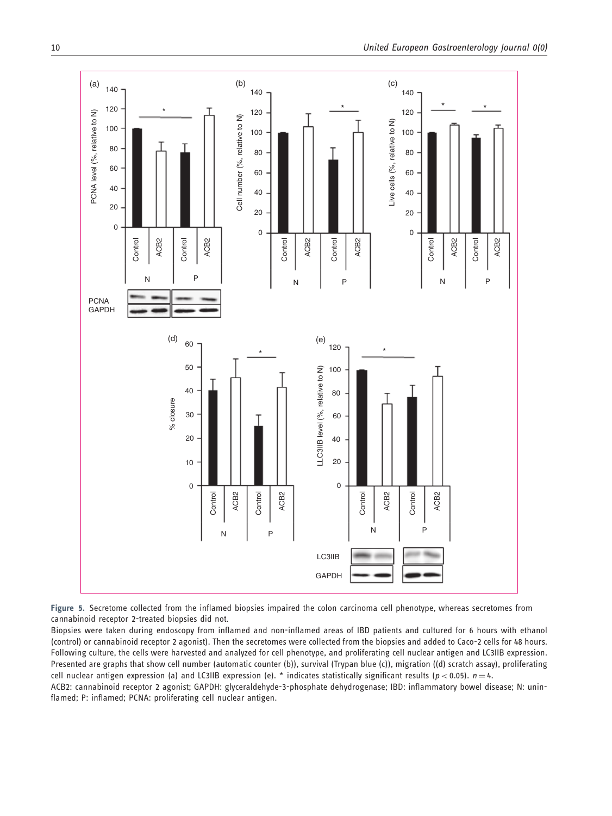![](_page_9_Figure_1.jpeg)

Figure 5. Secretome collected from the inflamed biopsies impaired the colon carcinoma cell phenotype, whereas secretomes from cannabinoid receptor 2-treated biopsies did not.

Biopsies were taken during endoscopy from inflamed and non-inflamed areas of IBD patients and cultured for 6 hours with ethanol (control) or cannabinoid receptor 2 agonist). Then the secretomes were collected from the biopsies and added to Caco-2 cells for 48 hours. Following culture, the cells were harvested and analyzed for cell phenotype, and proliferating cell nuclear antigen and LC3IIB expression. Presented are graphs that show cell number (automatic counter (b)), survival (Trypan blue (c)), migration ((d) scratch assay), proliferating cell nuclear antigen expression (a) and LC3IIB expression (e). \* indicates statistically significant results ( $p < 0.05$ ).  $n = 4$ .

ACB2: cannabinoid receptor 2 agonist; GAPDH: glyceraldehyde-3-phosphate dehydrogenase; IBD: inflammatory bowel disease; N: uninflamed; P: inflamed; PCNA: proliferating cell nuclear antigen.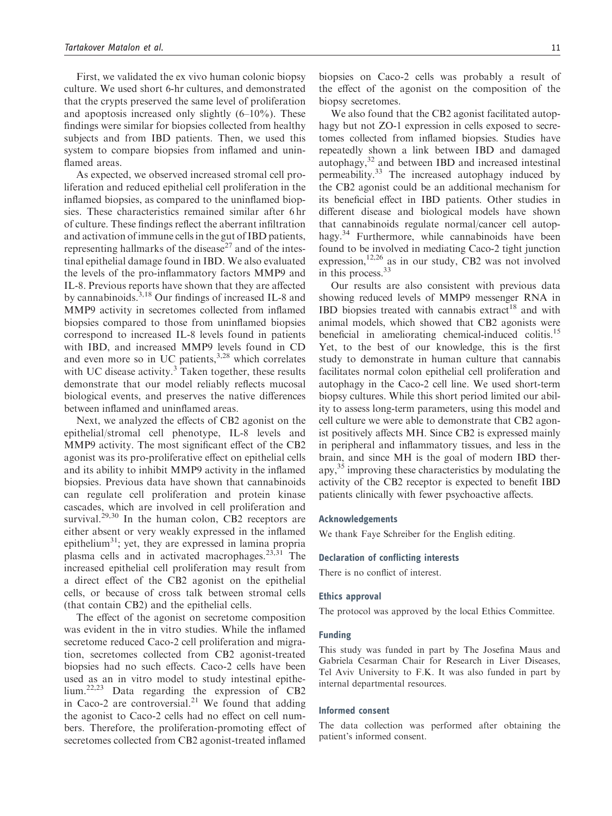First, we validated the ex vivo human colonic biopsy culture. We used short 6-hr cultures, and demonstrated that the crypts preserved the same level of proliferation and apoptosis increased only slightly  $(6-10\%)$ . These findings were similar for biopsies collected from healthy subjects and from IBD patients. Then, we used this system to compare biopsies from inflamed and uninflamed areas.

As expected, we observed increased stromal cell proliferation and reduced epithelial cell proliferation in the inflamed biopsies, as compared to the uninflamed biopsies. These characteristics remained similar after 6 hr of culture. These findings reflect the aberrant infiltration and activation of immune cells in the gut of IBD patients, representing hallmarks of the disease<sup>27</sup> and of the intestinal epithelial damage found in IBD. We also evaluated the levels of the pro-inflammatory factors MMP9 and IL-8. Previous reports have shown that they are affected by cannabinoids.<sup>3,18</sup> Our findings of increased IL-8 and MMP9 activity in secretomes collected from inflamed biopsies compared to those from uninflamed biopsies correspond to increased IL-8 levels found in patients with IBD, and increased MMP9 levels found in CD and even more so in UC patients, $3,28$  which correlates with UC disease activity. $3$  Taken together, these results demonstrate that our model reliably reflects mucosal biological events, and preserves the native differences between inflamed and uninflamed areas.

Next, we analyzed the effects of CB2 agonist on the epithelial/stromal cell phenotype, IL-8 levels and MMP9 activity. The most significant effect of the CB2 agonist was its pro-proliferative effect on epithelial cells and its ability to inhibit MMP9 activity in the inflamed biopsies. Previous data have shown that cannabinoids can regulate cell proliferation and protein kinase cascades, which are involved in cell proliferation and survival. $29,30$  In the human colon, CB2 receptors are either absent or very weakly expressed in the inflamed epithelium31; yet, they are expressed in lamina propria plasma cells and in activated macrophages.<sup>23,31</sup> The increased epithelial cell proliferation may result from a direct effect of the CB2 agonist on the epithelial cells, or because of cross talk between stromal cells (that contain CB2) and the epithelial cells.

The effect of the agonist on secretome composition was evident in the in vitro studies. While the inflamed secretome reduced Caco-2 cell proliferation and migration, secretomes collected from CB2 agonist-treated biopsies had no such effects. Caco-2 cells have been used as an in vitro model to study intestinal epithelium.22,23 Data regarding the expression of CB2 in Caco-2 are controversial. $^{21}$  We found that adding the agonist to Caco-2 cells had no effect on cell numbers. Therefore, the proliferation-promoting effect of secretomes collected from CB2 agonist-treated inflamed biopsies on Caco-2 cells was probably a result of the effect of the agonist on the composition of the biopsy secretomes.

We also found that the CB2 agonist facilitated autophagy but not ZO-1 expression in cells exposed to secretomes collected from inflamed biopsies. Studies have repeatedly shown a link between IBD and damaged autophagy,<sup>32</sup> and between IBD and increased intestinal permeability.<sup>33</sup> The increased autophagy induced by the CB2 agonist could be an additional mechanism for its beneficial effect in IBD patients. Other studies in different disease and biological models have shown that cannabinoids regulate normal/cancer cell autophagy.<sup>34</sup> Furthermore, while cannabinoids have been found to be involved in mediating Caco-2 tight junction expression, $12,26$  as in our study, CB2 was not involved in this process.<sup>33</sup>

Our results are also consistent with previous data showing reduced levels of MMP9 messenger RNA in IBD biopsies treated with cannabis extract<sup>18</sup> and with animal models, which showed that CB2 agonists were beneficial in ameliorating chemical-induced colitis.15 Yet, to the best of our knowledge, this is the first study to demonstrate in human culture that cannabis facilitates normal colon epithelial cell proliferation and autophagy in the Caco-2 cell line. We used short-term biopsy cultures. While this short period limited our ability to assess long-term parameters, using this model and cell culture we were able to demonstrate that CB2 agonist positively affects MH. Since CB2 is expressed mainly in peripheral and inflammatory tissues, and less in the brain, and since MH is the goal of modern IBD therapy,35 improving these characteristics by modulating the activity of the CB2 receptor is expected to benefit IBD patients clinically with fewer psychoactive affects.

### Acknowledgements

We thank Faye Schreiber for the English editing.

#### Declaration of conflicting interests

There is no conflict of interest.

#### Ethics approval

The protocol was approved by the local Ethics Committee.

#### Funding

This study was funded in part by The Josefina Maus and Gabriela Cesarman Chair for Research in Liver Diseases, Tel Aviv University to F.K. It was also funded in part by internal departmental resources.

### Informed consent

The data collection was performed after obtaining the patient's informed consent.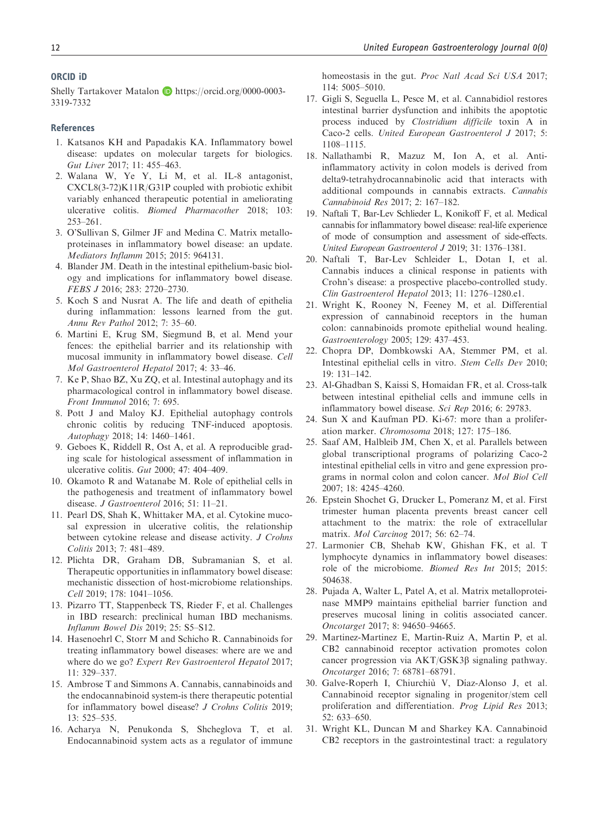#### ORCID iD

Shelly Tartakover Matalon D https://orcid.org/0000-0003-3319-7332

### References

- 1. Katsanos KH and Papadakis KA. Inflammatory bowel disease: updates on molecular targets for biologics. Gut Liver 2017; 11: 455–463.
- 2. Walana W, Ye Y, Li M, et al. IL-8 antagonist, CXCL8(3-72)K11R/G31P coupled with probiotic exhibit variably enhanced therapeutic potential in ameliorating ulcerative colitis. Biomed Pharmacother 2018; 103: 253–261.
- 3. O'Sullivan S, Gilmer JF and Medina C. Matrix metalloproteinases in inflammatory bowel disease: an update. Mediators Inflamm 2015; 2015: 964131.
- 4. Blander JM. Death in the intestinal epithelium-basic biology and implications for inflammatory bowel disease. FEBS J 2016; 283: 2720–2730.
- 5. Koch S and Nusrat A. The life and death of epithelia during inflammation: lessons learned from the gut. Annu Rev Pathol 2012; 7: 35–60.
- 6. Martini E, Krug SM, Siegmund B, et al. Mend your fences: the epithelial barrier and its relationship with mucosal immunity in inflammatory bowel disease. Cell Mol Gastroenterol Hepatol 2017; 4: 33–46.
- 7. Ke P, Shao BZ, Xu ZQ, et al. Intestinal autophagy and its pharmacological control in inflammatory bowel disease. Front Immunol 2016; 7: 695.
- 8. Pott J and Maloy KJ. Epithelial autophagy controls chronic colitis by reducing TNF-induced apoptosis. Autophagy 2018; 14: 1460–1461.
- 9. Geboes K, Riddell R, Ost A, et al. A reproducible grading scale for histological assessment of inflammation in ulcerative colitis. Gut 2000; 47: 404–409.
- 10. Okamoto R and Watanabe M. Role of epithelial cells in the pathogenesis and treatment of inflammatory bowel disease. J Gastroenterol 2016; 51: 11–21.
- 11. Pearl DS, Shah K, Whittaker MA, et al. Cytokine mucosal expression in ulcerative colitis, the relationship between cytokine release and disease activity. J Crohns Colitis 2013; 7: 481–489.
- 12. Plichta DR, Graham DB, Subramanian S, et al. Therapeutic opportunities in inflammatory bowel disease: mechanistic dissection of host-microbiome relationships. Cell 2019; 178: 1041–1056.
- 13. Pizarro TT, Stappenbeck TS, Rieder F, et al. Challenges in IBD research: preclinical human IBD mechanisms. Inflamm Bowel Dis 2019; 25: S5–S12.
- 14. Hasenoehrl C, Storr M and Schicho R. Cannabinoids for treating inflammatory bowel diseases: where are we and where do we go? Expert Rev Gastroenterol Hepatol 2017;  $11 \cdot 329 - 337$
- 15. Ambrose T and Simmons A. Cannabis, cannabinoids and the endocannabinoid system-is there therapeutic potential for inflammatory bowel disease? J Crohns Colitis 2019; 13: 525–535.
- 16. Acharya N, Penukonda S, Shcheglova T, et al. Endocannabinoid system acts as a regulator of immune

homeostasis in the gut. Proc Natl Acad Sci USA 2017; 114: 5005–5010.

- 17. Gigli S, Seguella L, Pesce M, et al. Cannabidiol restores intestinal barrier dysfunction and inhibits the apoptotic process induced by Clostridium difficile toxin A in Caco-2 cells. United European Gastroenterol J 2017; 5: 1108–1115.
- 18. Nallathambi R, Mazuz M, Ion A, et al. Antiinflammatory activity in colon models is derived from delta9-tetrahydrocannabinolic acid that interacts with additional compounds in cannabis extracts. Cannabis Cannabinoid Res 2017; 2: 167–182.
- 19. Naftali T, Bar-Lev Schlieder L, Konikoff F, et al. Medical cannabis for inflammatory bowel disease: real-life experience of mode of consumption and assessment of side-effects. United European Gastroenterol J 2019; 31: 1376–1381.
- 20. Naftali T, Bar-Lev Schleider L, Dotan I, et al. Cannabis induces a clinical response in patients with Crohn's disease: a prospective placebo-controlled study. Clin Gastroenterol Hepatol 2013; 11: 1276–1280.e1.
- 21. Wright K, Rooney N, Feeney M, et al. Differential expression of cannabinoid receptors in the human colon: cannabinoids promote epithelial wound healing. Gastroenterology 2005; 129: 437–453.
- 22. Chopra DP, Dombkowski AA, Stemmer PM, et al. Intestinal epithelial cells in vitro. Stem Cells Dev 2010; 19: 131–142.
- 23. Al-Ghadban S, Kaissi S, Homaidan FR, et al. Cross-talk between intestinal epithelial cells and immune cells in inflammatory bowel disease. Sci Rep 2016; 6: 29783.
- 24. Sun X and Kaufman PD. Ki-67: more than a proliferation marker. Chromosoma 2018; 127: 175–186.
- 25. Saaf AM, Halbleib JM, Chen X, et al. Parallels between global transcriptional programs of polarizing Caco-2 intestinal epithelial cells in vitro and gene expression programs in normal colon and colon cancer. Mol Biol Cell 2007; 18: 4245–4260.
- 26. Epstein Shochet G, Drucker L, Pomeranz M, et al. First trimester human placenta prevents breast cancer cell attachment to the matrix: the role of extracellular matrix. Mol Carcinog 2017; 56: 62–74.
- 27. Larmonier CB, Shehab KW, Ghishan FK, et al. T lymphocyte dynamics in inflammatory bowel diseases: role of the microbiome. Biomed Res Int 2015; 2015: 504638.
- 28. Pujada A, Walter L, Patel A, et al. Matrix metalloproteinase MMP9 maintains epithelial barrier function and preserves mucosal lining in colitis associated cancer. Oncotarget 2017; 8: 94650–94665.
- 29. Martinez-Martinez E, Martin-Ruiz A, Martin P, et al. CB2 cannabinoid receptor activation promotes colon cancer progression via  $AKT/GSK3\beta$  signaling pathway. Oncotarget 2016; 7: 68781–68791.
- 30. Galve-Roperh I, Chiurchiù V, Díaz-Alonso J, et al. Cannabinoid receptor signaling in progenitor/stem cell proliferation and differentiation. Prog Lipid Res 2013; 52: 633–650.
- 31. Wright KL, Duncan M and Sharkey KA. Cannabinoid CB2 receptors in the gastrointestinal tract: a regulatory